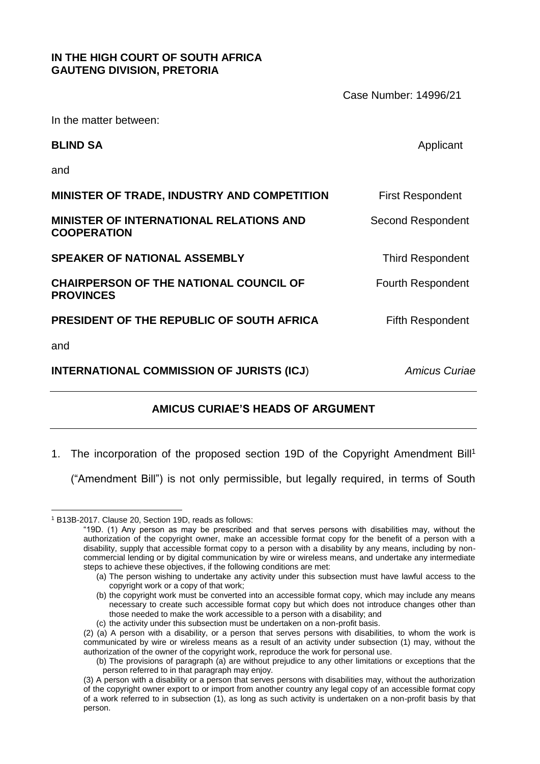# **IN THE HIGH COURT OF SOUTH AFRICA GAUTENG DIVISION, PRETORIA**

|                                                                      | Case Number: 14996/21    |
|----------------------------------------------------------------------|--------------------------|
| In the matter between:                                               |                          |
| <b>BLIND SA</b>                                                      | Applicant                |
| and                                                                  |                          |
| MINISTER OF TRADE, INDUSTRY AND COMPETITION                          | <b>First Respondent</b>  |
| <b>MINISTER OF INTERNATIONAL RELATIONS AND</b><br><b>COOPERATION</b> | Second Respondent        |
| <b>SPEAKER OF NATIONAL ASSEMBLY</b>                                  | <b>Third Respondent</b>  |
| <b>CHAIRPERSON OF THE NATIONAL COUNCIL OF</b><br><b>PROVINCES</b>    | <b>Fourth Respondent</b> |
| <b>PRESIDENT OF THE REPUBLIC OF SOUTH AFRICA</b>                     | <b>Fifth Respondent</b>  |
| and                                                                  |                          |
| <b>INTERNATIONAL COMMISSION OF JURISTS (ICJ)</b>                     | <b>Amicus Curiae</b>     |
|                                                                      |                          |

# **AMICUS CURIAE'S HEADS OF ARGUMENT**

1. The incorporation of the proposed section 19D of the Copyright Amendment Bill<sup>1</sup>

("Amendment Bill") is not only permissible, but legally required, in terms of South

<u>.</u>

(c) the activity under this subsection must be undertaken on a non-profit basis.

<sup>1</sup> B13B-2017. Clause 20, Section 19D, reads as follows:

<sup>&</sup>quot;19D. (1) Any person as may be prescribed and that serves persons with disabilities may, without the authorization of the copyright owner, make an accessible format copy for the benefit of a person with a disability, supply that accessible format copy to a person with a disability by any means, including by noncommercial lending or by digital communication by wire or wireless means, and undertake any intermediate steps to achieve these objectives, if the following conditions are met:

<sup>(</sup>a) The person wishing to undertake any activity under this subsection must have lawful access to the copyright work or a copy of that work;

<sup>(</sup>b) the copyright work must be converted into an accessible format copy, which may include any means necessary to create such accessible format copy but which does not introduce changes other than those needed to make the work accessible to a person with a disability; and

<sup>(2) (</sup>a) A person with a disability, or a person that serves persons with disabilities, to whom the work is communicated by wire or wireless means as a result of an activity under subsection (1) may, without the authorization of the owner of the copyright work, reproduce the work for personal use.

<sup>(</sup>b) The provisions of paragraph (a) are without prejudice to any other limitations or exceptions that the person referred to in that paragraph may enjoy.

<sup>(3)</sup> A person with a disability or a person that serves persons with disabilities may, without the authorization of the copyright owner export to or import from another country any legal copy of an accessible format copy of a work referred to in subsection (1), as long as such activity is undertaken on a non-profit basis by that person.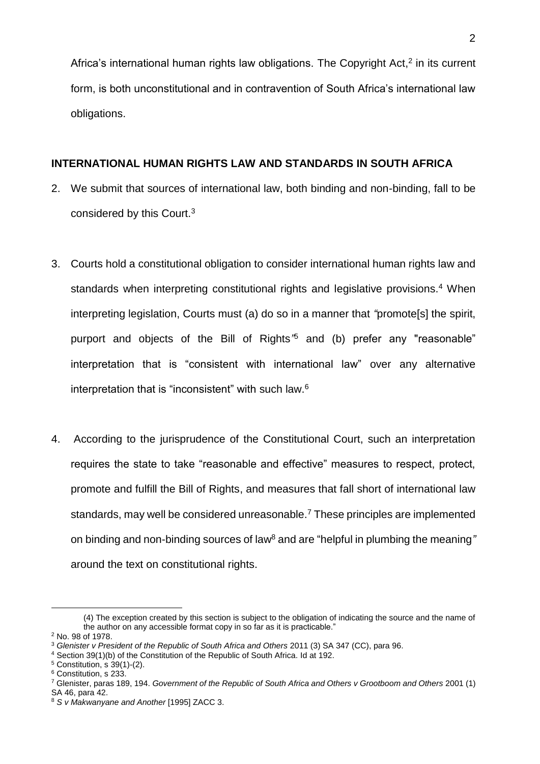Africa's international human rights law obligations. The Copyright Act, $2$  in its current form, is both unconstitutional and in contravention of South Africa's international law obligations.

#### **INTERNATIONAL HUMAN RIGHTS LAW AND STANDARDS IN SOUTH AFRICA**

- 2. We submit that sources of international law, both binding and non-binding, fall to be considered by this Court.<sup>3</sup>
- 3. Courts hold a constitutional obligation to consider international human rights law and standards when interpreting constitutional rights and legislative provisions.<sup>4</sup> When interpreting legislation, Courts must (a) do so in a manner that *"*promote[s] the spirit, purport and objects of the Bill of Rights*"* <sup>5</sup> and (b) prefer any "reasonable" interpretation that is "consistent with international law" over any alternative interpretation that is "inconsistent" with such law.<sup>6</sup>
- 4. According to the jurisprudence of the Constitutional Court, such an interpretation requires the state to take "reasonable and effective" measures to respect, protect, promote and fulfill the Bill of Rights, and measures that fall short of international law standards, may well be considered unreasonable.<sup>7</sup> These principles are implemented on binding and non-binding sources of law<sup>8</sup> and are "helpful in plumbing the meaning*"* around the text on constitutional rights.

<u>.</u>

<sup>(4)</sup> The exception created by this section is subject to the obligation of indicating the source and the name of the author on any accessible format copy in so far as it is practicable."

<sup>2</sup> No. 98 of 1978.

<sup>3</sup> *Glenister v President of the Republic of South Africa and Others* 2011 (3) SA 347 (CC), para 96.

<sup>4</sup> Section 39(1)(b) of the Constitution of the Republic of South Africa. Id at 192.

 $5$  Constitution, s  $39(1)-(2)$ .

<sup>6</sup> Constitution, s 233.

<sup>7</sup> Glenister, paras 189, 194. *Government of the Republic of South Africa and Others v Grootboom and Others* 2001 (1) SA 46, para 42.

<sup>8</sup> *S v Makwanyane and Another* [1995] ZACC 3.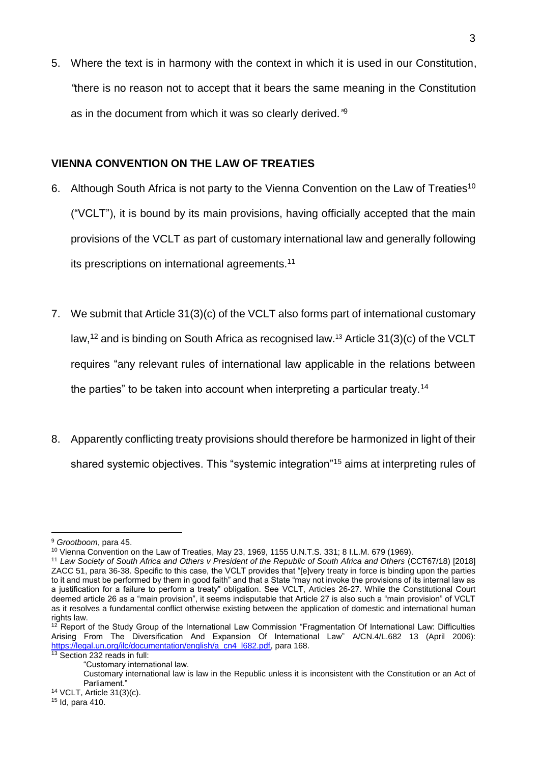5. Where the text is in harmony with the context in which it is used in our Constitution, *"*there is no reason not to accept that it bears the same meaning in the Constitution as in the document from which it was so clearly derived*."*<sup>9</sup>

### **VIENNA CONVENTION ON THE LAW OF TREATIES**

- 6. Although South Africa is not party to the Vienna Convention on the Law of Treaties<sup>10</sup> ("VCLT"), it is bound by its main provisions, having officially accepted that the main provisions of the VCLT as part of customary international law and generally following its prescriptions on international agreements.<sup>11</sup>
- 7. We submit that Article 31(3)(c) of the VCLT also forms part of international customary law,  $12$  and is binding on South Africa as recognised law.  $13$  Article 31(3)(c) of the VCLT requires "any relevant rules of international law applicable in the relations between the parties" to be taken into account when interpreting a particular treaty.<sup>14</sup>
- 8. Apparently conflicting treaty provisions should therefore be harmonized in light of their shared systemic objectives. This "systemic integration"<sup>15</sup> aims at interpreting rules of

<sup>&</sup>lt;u>.</u> <sup>9</sup> *Grootboom*, para 45.

<sup>10</sup> Vienna Convention on the Law of Treaties, May 23, 1969, 1155 U.N.T.S. 331; 8 I.L.M. 679 (1969).

<sup>11</sup> *Law Society of South Africa and Others v President of the Republic of South Africa and Others* (CCT67/18) [2018] ZACC 51, para 36-38. Specific to this case, the VCLT provides that "[e]very treaty in force is binding upon the parties to it and must be performed by them in good faith" and that a State "may not invoke the provisions of its internal law as a justification for a failure to perform a treaty" obligation. See VCLT, Articles 26-27. While the Constitutional Court deemed article 26 as a "main provision", it seems indisputable that Article 27 is also such a "main provision" of VCLT as it resolves a fundamental conflict otherwise existing between the application of domestic and international human rights law.

 $12$  Report of the Study Group of the International Law Commission "Fragmentation Of International Law: Difficulties Arising From The Diversification And Expansion Of International Law" A/CN.4/L.682 13 (April 2006): [https://legal.un.org/ilc/documentation/english/a\\_cn4\\_l682.pdf,](https://legal.un.org/ilc/documentation/english/a_cn4_l682.pdf) para 168.

<sup>13</sup> Section 232 reads in full: "Customary international law.

Customary international law is law in the Republic unless it is inconsistent with the Constitution or an Act of Parliament."

<sup>14</sup> VCLT, Article 31(3)(c).

<sup>15</sup> Id, para 410.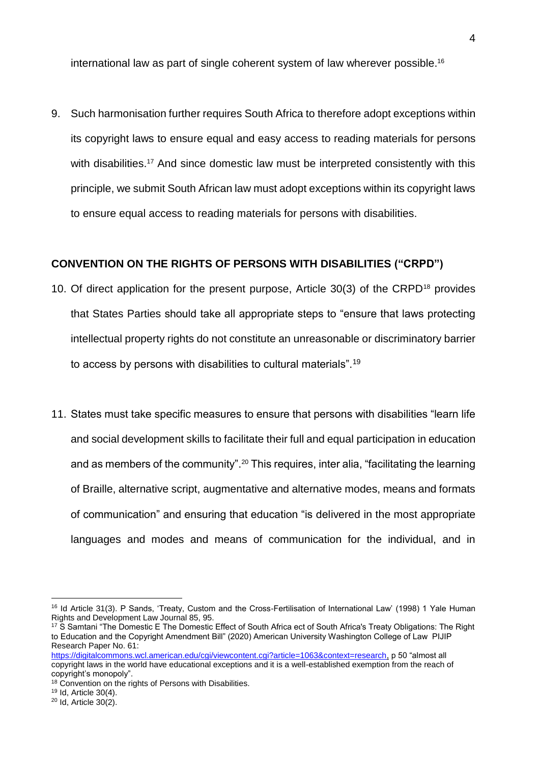international law as part of single coherent system of law wherever possible. 16

9. Such harmonisation further requires South Africa to therefore adopt exceptions within its copyright laws to ensure equal and easy access to reading materials for persons with disabilities.<sup>17</sup> And since domestic law must be interpreted consistently with this principle, we submit South African law must adopt exceptions within its copyright laws to ensure equal access to reading materials for persons with disabilities.

# **CONVENTION ON THE RIGHTS OF PERSONS WITH DISABILITIES ("CRPD")**

- 10. Of direct application for the present purpose, Article 30(3) of the CRPD<sup>18</sup> provides that States Parties should take all appropriate steps to "ensure that laws protecting intellectual property rights do not constitute an unreasonable or discriminatory barrier to access by persons with disabilities to cultural materials".<sup>19</sup>
- 11. States must take specific measures to ensure that persons with disabilities "learn life and social development skills to facilitate their full and equal participation in education and as members of the community".<sup>20</sup> This requires, inter alia, "facilitating the learning of Braille, alternative script, augmentative and alternative modes, means and formats of communication" and ensuring that education "is delivered in the most appropriate languages and modes and means of communication for the individual, and in

<sup>&</sup>lt;sup>16</sup> Id Article 31(3). P Sands, 'Treaty, Custom and the Cross-Fertilisation of International Law' (1998) 1 Yale Human Rights and Development Law Journal 85, 95.

<sup>&</sup>lt;sup>17</sup> S Samtani "The Domestic E The Domestic Effect of South Africa ect of South Africa's Treaty Obligations: The Right to Education and the Copyright Amendment Bill" (2020) American University Washington College of Law PIJIP Research Paper No. 61:

[https://digitalcommons.wcl.american.edu/cgi/viewcontent.cgi?article=1063&context=research,](https://digitalcommons.wcl.american.edu/cgi/viewcontent.cgi?article=1063&context=research) p 50 "almost all copyright laws in the world have educational exceptions and it is a well-established exemption from the reach of copyright's monopoly".

<sup>&</sup>lt;sup>18</sup> Convention on the rights of Persons with Disabilities.

<sup>19</sup> Id, Article 30(4).

<sup>20</sup> Id, Article 30(2).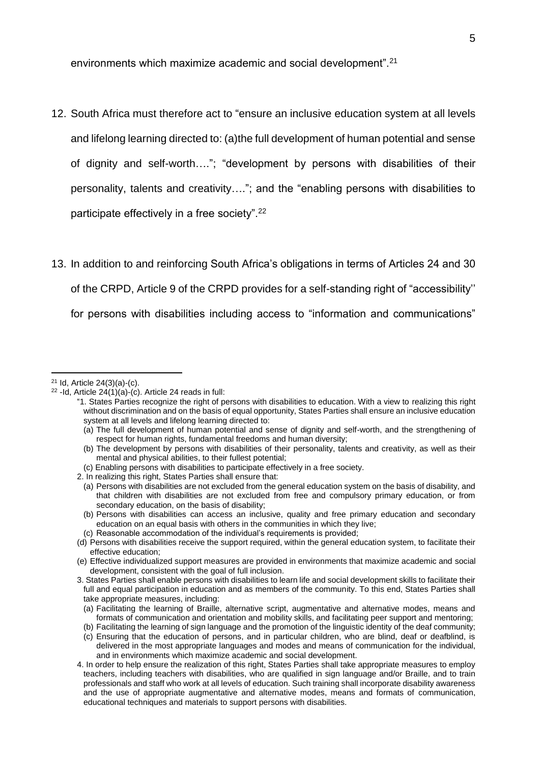environments which maximize academic and social development".<sup>21</sup>

- 12. South Africa must therefore act to "ensure an inclusive education system at all levels and lifelong learning directed to: (a)the full development of human potential and sense of dignity and self-worth…."; "development by persons with disabilities of their personality, talents and creativity…."; and the "enabling persons with disabilities to participate effectively in a free society".<sup>22</sup>
- 13. In addition to and reinforcing South Africa's obligations in terms of Articles 24 and 30 of the CRPD, Article 9 of the CRPD provides for a self-standing right of "accessibility'' for persons with disabilities including access to "information and communications"

<sup>21</sup> Id, Article 24(3)(a)-(c).

 $22$  -Id, Article 24(1)(a)-(c). Article 24 reads in full:

<sup>&</sup>quot;1. States Parties recognize the right of persons with disabilities to education. With a view to realizing this right without discrimination and on the basis of equal opportunity, States Parties shall ensure an inclusive education system at all levels and lifelong learning directed to:

<sup>(</sup>a) The full development of human potential and sense of dignity and self-worth, and the strengthening of respect for human rights, fundamental freedoms and human diversity;

<sup>(</sup>b) The development by persons with disabilities of their personality, talents and creativity, as well as their mental and physical abilities, to their fullest potential;

<sup>(</sup>c) Enabling persons with disabilities to participate effectively in a free society.

<sup>2.</sup> In realizing this right, States Parties shall ensure that:

<sup>(</sup>a) Persons with disabilities are not excluded from the general education system on the basis of disability, and that children with disabilities are not excluded from free and compulsory primary education, or from secondary education, on the basis of disability;

<sup>(</sup>b) Persons with disabilities can access an inclusive, quality and free primary education and secondary education on an equal basis with others in the communities in which they live;

<sup>(</sup>c) Reasonable accommodation of the individual's requirements is provided;

<sup>(</sup>d) Persons with disabilities receive the support required, within the general education system, to facilitate their effective education;

<sup>(</sup>e) Effective individualized support measures are provided in environments that maximize academic and social development, consistent with the goal of full inclusion.

<sup>3.</sup> States Parties shall enable persons with disabilities to learn life and social development skills to facilitate their full and equal participation in education and as members of the community. To this end, States Parties shall take appropriate measures, including:

<sup>(</sup>a) Facilitating the learning of Braille, alternative script, augmentative and alternative modes, means and formats of communication and orientation and mobility skills, and facilitating peer support and mentoring;

<sup>(</sup>b) Facilitating the learning of sign language and the promotion of the linguistic identity of the deaf community;

<sup>(</sup>c) Ensuring that the education of persons, and in particular children, who are blind, deaf or deafblind, is delivered in the most appropriate languages and modes and means of communication for the individual, and in environments which maximize academic and social development.

<sup>4.</sup> In order to help ensure the realization of this right, States Parties shall take appropriate measures to employ teachers, including teachers with disabilities, who are qualified in sign language and/or Braille, and to train professionals and staff who work at all levels of education. Such training shall incorporate disability awareness and the use of appropriate augmentative and alternative modes, means and formats of communication, educational techniques and materials to support persons with disabilities.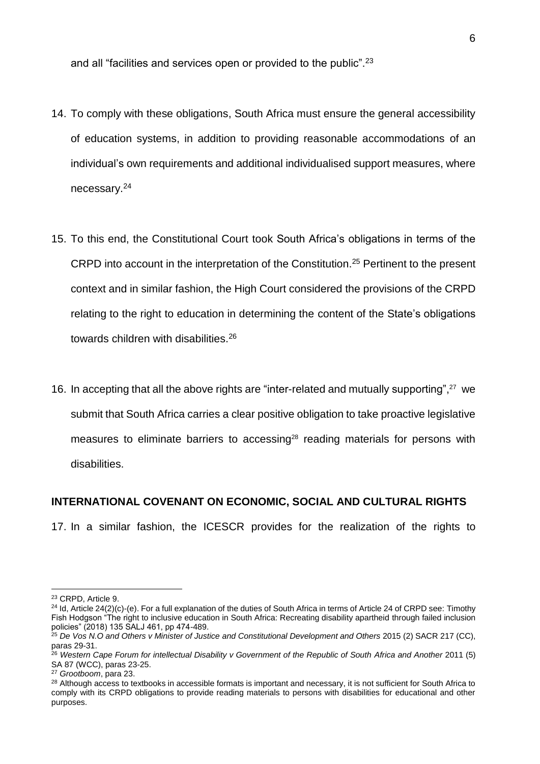and all "facilities and services open or provided to the public".<sup>23</sup>

- 14. To comply with these obligations, South Africa must ensure the general accessibility of education systems, in addition to providing reasonable accommodations of an individual's own requirements and additional individualised support measures, where necessary.<sup>24</sup>
- 15. To this end, the Constitutional Court took South Africa's obligations in terms of the CRPD into account in the interpretation of the Constitution.<sup>25</sup> Pertinent to the present context and in similar fashion, the High Court considered the provisions of the CRPD relating to the right to education in determining the content of the State's obligations towards children with disabilities.<sup>26</sup>
- 16. In accepting that all the above rights are "inter-related and mutually supporting",<sup>27</sup> we submit that South Africa carries a clear positive obligation to take proactive legislative measures to eliminate barriers to accessing<sup>28</sup> reading materials for persons with disabilities.

#### **INTERNATIONAL COVENANT ON ECONOMIC, SOCIAL AND CULTURAL RIGHTS**

17. In a similar fashion, the ICESCR provides for the realization of the rights to

<u>.</u>

<sup>23</sup> CRPD, Article 9.

<sup>&</sup>lt;sup>24</sup> Id, Article 24(2)(c)-(e). For a full explanation of the duties of South Africa in terms of Article 24 of CRPD see: Timothy Fish Hodgson "The right to inclusive education in South Africa: Recreating disability apartheid through failed inclusion policies" (2018) 135 SALJ 461, pp 474-489.

<sup>25</sup> *De Vos N.O and Others v Minister of Justice and Constitutional Development and Others* 2015 (2) SACR 217 (CC), paras 29-31.

<sup>26</sup> *Western Cape Forum for intellectual Disability v Government of the Republic of South Africa and Another* 2011 (5) SA 87 (WCC), paras 23-25.

<sup>27</sup> *Grootboom*, para 23.

<sup>&</sup>lt;sup>28</sup> Although access to textbooks in accessible formats is important and necessary, it is not sufficient for South Africa to comply with its CRPD obligations to provide reading materials to persons with disabilities for educational and other purposes.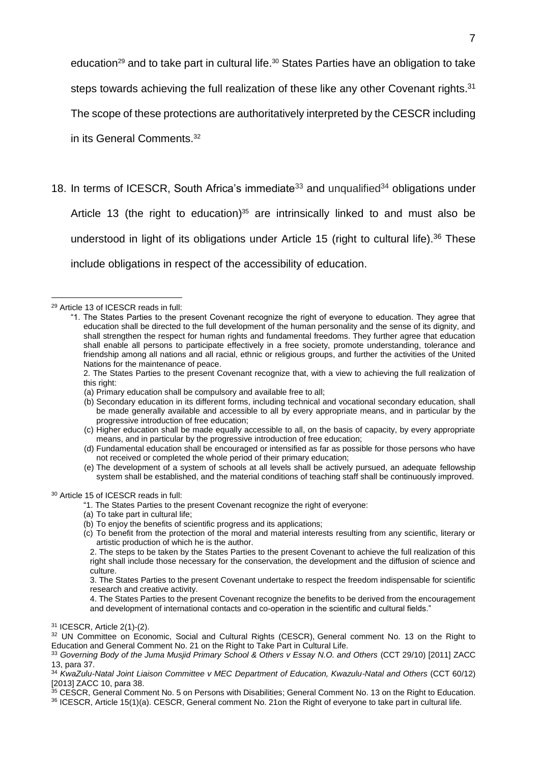education<sup>29</sup> and to take part in cultural life.<sup>30</sup> States Parties have an obligation to take

steps towards achieving the full realization of these like any other Covenant rights.<sup>31</sup>

The scope of these protections are authoritatively interpreted by the CESCR including

in its General Comments. 32

18. In terms of ICESCR, South Africa's immediate<sup>33</sup> and unqualified<sup>34</sup> obligations under

Article 13 (the right to education) <sup>35</sup> are intrinsically linked to and must also be understood in light of its obligations under Article 15 (right to cultural life).<sup>36</sup> These include obligations in respect of the accessibility of education.

<u>.</u>

- 2. The States Parties to the present Covenant recognize that, with a view to achieving the full realization of this right:
- (a) Primary education shall be compulsory and available free to all;
- (b) Secondary education in its different forms, including technical and vocational secondary education, shall be made generally available and accessible to all by every appropriate means, and in particular by the progressive introduction of free education;
- (c) Higher education shall be made equally accessible to all, on the basis of capacity, by every appropriate means, and in particular by the progressive introduction of free education;
- (d) Fundamental education shall be encouraged or intensified as far as possible for those persons who have not received or completed the whole period of their primary education;
- (e) The development of a system of schools at all levels shall be actively pursued, an adequate fellowship system shall be established, and the material conditions of teaching staff shall be continuously improved.

- "1. The States Parties to the present Covenant recognize the right of everyone:
- (a) To take part in cultural life;
- (b) To enjoy the benefits of scientific progress and its applications;
- (c) To benefit from the protection of the moral and material interests resulting from any scientific, literary or artistic production of which he is the author.

<sup>35</sup> CESCR, General Comment No. 5 on Persons with Disabilities; General Comment No. 13 on the Right to Education. <sup>36</sup> ICESCR, Article 15(1)(a). CESCR, General comment No. 21on the Right of everyone to take part in cultural life.

<sup>29</sup> Article 13 of ICESCR reads in full:

<sup>&</sup>quot;1. The States Parties to the present Covenant recognize the right of everyone to education. They agree that education shall be directed to the full development of the human personality and the sense of its dignity, and shall strengthen the respect for human rights and fundamental freedoms. They further agree that education shall enable all persons to participate effectively in a free society, promote understanding, tolerance and friendship among all nations and all racial, ethnic or religious groups, and further the activities of the United Nations for the maintenance of peace.

<sup>30</sup> Article 15 of ICESCR reads in full:

<sup>2.</sup> The steps to be taken by the States Parties to the present Covenant to achieve the full realization of this right shall include those necessary for the conservation, the development and the diffusion of science and culture.

<sup>3.</sup> The States Parties to the present Covenant undertake to respect the freedom indispensable for scientific research and creative activity.

<sup>4.</sup> The States Parties to the present Covenant recognize the benefits to be derived from the encouragement and development of international contacts and co-operation in the scientific and cultural fields."

<sup>31</sup> ICESCR, Article 2(1)-(2).

<sup>32</sup> UN Committee on Economic, Social and Cultural Rights (CESCR), General comment No. 13 on the Right to Education and General Comment No. 21 on the Right to Take Part in Cultural Life.

<sup>33</sup> *Governing Body of the Juma Musjid Primary School & Others v Essay N.O. and Others* (CCT 29/10) [2011] ZACC 13, para 37.

<sup>34</sup> *KwaZulu-Natal Joint Liaison Committee v MEC Department of Education, Kwazulu-Natal and Others* (CCT 60/12) [2013] ZACC 10, para 38.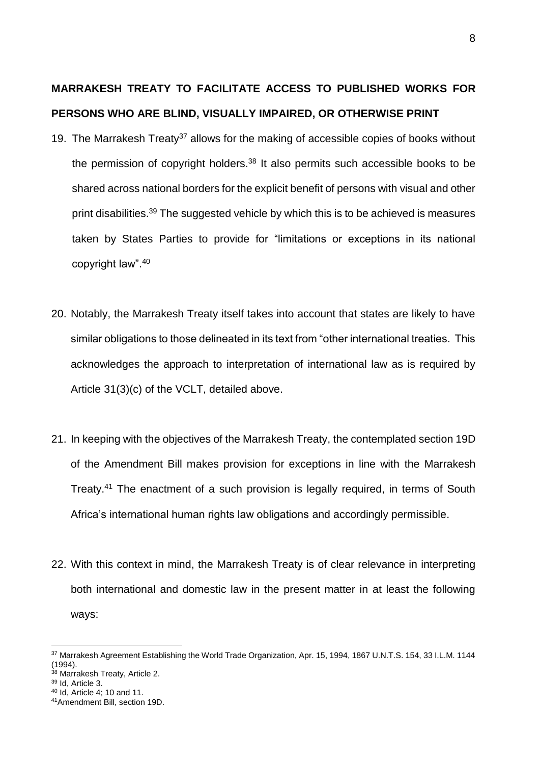# **MARRAKESH TREATY TO FACILITATE ACCESS TO PUBLISHED WORKS FOR PERSONS WHO ARE BLIND, VISUALLY IMPAIRED, OR OTHERWISE PRINT**

- 19. The Marrakesh Treaty<sup>37</sup> allows for the making of accessible copies of books without the permission of copyright holders. $38$  It also permits such accessible books to be shared across national borders for the explicit benefit of persons with visual and other print disabilities.<sup>39</sup> The suggested vehicle by which this is to be achieved is measures taken by States Parties to provide for "limitations or exceptions in its national copyright law".<sup>40</sup>
- 20. Notably, the Marrakesh Treaty itself takes into account that states are likely to have similar obligations to those delineated in its text from "other international treaties. This acknowledges the approach to interpretation of international law as is required by Article 31(3)(c) of the VCLT, detailed above.
- 21. In keeping with the objectives of the Marrakesh Treaty, the contemplated section 19D of the Amendment Bill makes provision for exceptions in line with the Marrakesh Treaty.<sup>41</sup> The enactment of a such provision is legally required, in terms of South Africa's international human rights law obligations and accordingly permissible.
- 22. With this context in mind, the Marrakesh Treaty is of clear relevance in interpreting both international and domestic law in the present matter in at least the following ways:

<sup>&</sup>lt;sup>37</sup> Marrakesh Agreement Establishing the World Trade Organization, Apr. 15, 1994, 1867 U.N.T.S. 154, 33 I.L.M. 1144 (1994).

<sup>38</sup> Marrakesh Treaty, Article 2.

<sup>39</sup> Id, Article 3.

<sup>40</sup> Id, Article 4; 10 and 11.

<sup>41</sup>Amendment Bill, section 19D.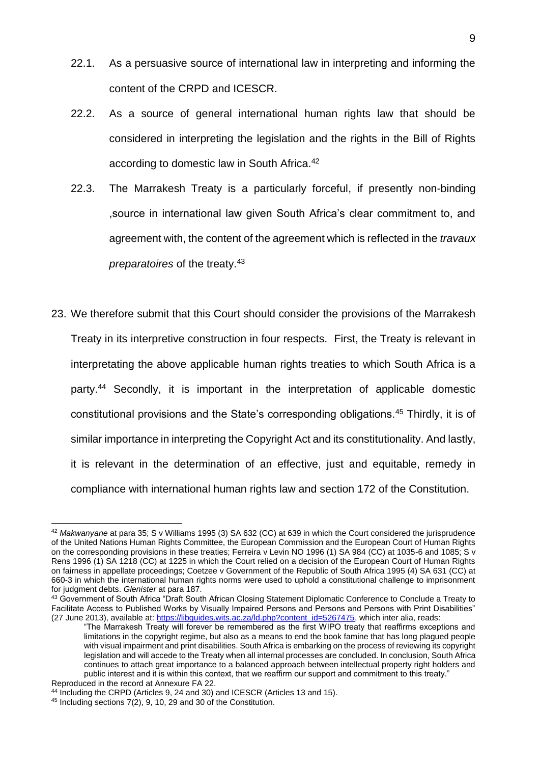- 22.1. As a persuasive source of international law in interpreting and informing the content of the CRPD and ICESCR.
- 22.2. As a source of general international human rights law that should be considered in interpreting the legislation and the rights in the Bill of Rights according to domestic law in South Africa.<sup>42</sup>
- 22.3. The Marrakesh Treaty is a particularly forceful, if presently non-binding ,source in international law given South Africa's clear commitment to, and agreement with, the content of the agreement which is reflected in the *travaux preparatoires* of the treaty.<sup>43</sup>
- 23. We therefore submit that this Court should consider the provisions of the Marrakesh Treaty in its interpretive construction in four respects. First, the Treaty is relevant in interpretating the above applicable human rights treaties to which South Africa is a party.<sup>44</sup> Secondly, it is important in the interpretation of applicable domestic constitutional provisions and the State's corresponding obligations.<sup>45</sup> Thirdly, it is of similar importance in interpreting the Copyright Act and its constitutionality. And lastly, it is relevant in the determination of an effective, just and equitable, remedy in compliance with international human rights law and section 172 of the Constitution.

<sup>42</sup> *Makwanyane* at para 35; S v Williams 1995 (3) SA 632 (CC) at 639 in which the Court considered the jurisprudence of the United Nations Human Rights Committee, the European Commission and the European Court of Human Rights on the corresponding provisions in these treaties; Ferreira v Levin NO 1996 (1) SA 984 (CC) at 1035-6 and 1085; S v Rens 1996 (1) SA 1218 (CC) at 1225 in which the Court relied on a decision of the European Court of Human Rights on fairness in appellate proceedings; Coetzee v Government of the Republic of South Africa 1995 (4) SA 631 (CC) at 660-3 in which the international human rights norms were used to uphold a constitutional challenge to imprisonment for judgment debts. *Glenister* at para 187.

<sup>43</sup> Government of South Africa "Draft South African Closing Statement Diplomatic Conference to Conclude a Treaty to Facilitate Access to Published Works by Visually Impaired Persons and Persons and Persons with Print Disabilities" (27 June 2013), available at: [https://libguides.wits.ac.za/ld.php?content\\_id=5267475,](https://libguides.wits.ac.za/ld.php?content_id=5267475) which inter alia, reads:

<sup>&</sup>quot;The Marrakesh Treaty will forever be remembered as the first WIPO treaty that reaffirms exceptions and limitations in the copyright regime, but also as a means to end the book famine that has long plagued people with visual impairment and print disabilities. South Africa is embarking on the process of reviewing its copyright legislation and will accede to the Treaty when all internal processes are concluded. In conclusion, South Africa continues to attach great importance to a balanced approach between intellectual property right holders and public interest and it is within this context, that we reaffirm our support and commitment to this treaty." Reproduced in the record at Annexure FA 22.

<sup>44</sup> Including the CRPD (Articles 9, 24 and 30) and ICESCR (Articles 13 and 15).

<sup>45</sup> Including sections 7(2), 9, 10, 29 and 30 of the Constitution.